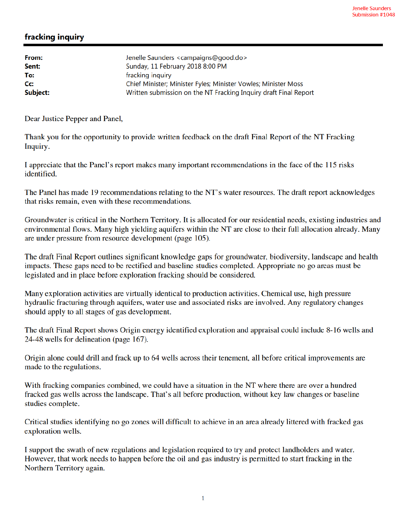## fracking inquiry

| From:<br>Sent:   | Jenelle Saunders <campaigns@good.do><br/>Sunday, 11 February 2018 8:00 PM</campaigns@good.do> |
|------------------|-----------------------------------------------------------------------------------------------|
| To:              | fracking inquiry                                                                              |
| $C_{\mathbf{C}}$ | Chief Minister; Minister Fyles; Minister Vowles; Minister Moss                                |
| Subject:         | Written submission on the NT Fracking Inquiry draft Final Report                              |

Dear Justice Pepper and Panel,

Thank you for the opportunity to provide written feedback on the draft Final Report of the NT Fracking Inquiry.

I appreciate that the Panel's report makes many important recommendations in the face of the 115 risks identified.

The Panel has made 19 recommendations relating to the NT's water resources. The draft report acknowledges that risks remain, even with these recommendations.

Groundwater is critical in the Northern Territory. It is allocated for our residential needs, existing industries and environmental flows. Many high yielding aquifers within the NT are close to their full allocation already. Many are under pressure from resource development (page 105).

The draft Final Report outlines significant knowledge gaps for groundwater, biodiversity, landscape and health impacts. These gaps need to be rectified and baseline studies completed. Appropriate no go areas must be legislated and in place before exploration fracking should be considered.

Many exploration activities are virtually identical to production activities. Chemical use, high pressure hydraulic fracturing through aquifers, water use and associated risks are involved. Any regulatory changes should apply to all stages of gas development.

The draft Final Report shows Origin energy identified exploration and appraisal could include 8-16 wells and 24-48 wells for delineation (page 167).

Origin alone could drill and frack up to 64 wells across their tenement, all before critical improvements are made to the regulations.

With fracking companies combined, we could have a situation in the NT where there are over a hundred fracked gas wells across the landscape. That's all before production, without key law changes or baseline studies complete.

Critical studies identifying no go zones will difficult to achieve in an area already littered with fracked gas exploration wells.

I support the swath of new regulations and legislation required to try and protect landholders and water. However, that work needs to happen before the oil and gas industry is permitted to start fracking in the Northern Territory again.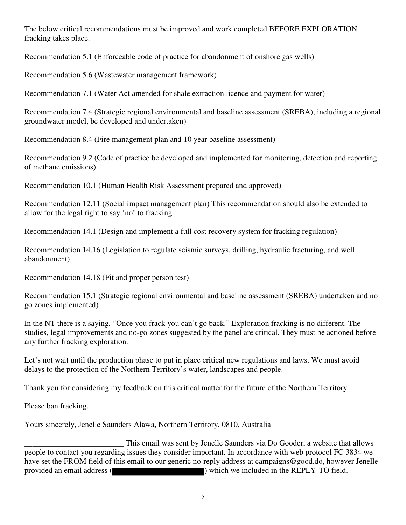The below critical recommendations must be improved and work completed BEFORE EXPLORATION fracking takes place.

Recommendation 5.1 (Enforceable code of practice for abandonment of onshore gas wells)

Recommendation 5.6 (Wastewater management framework)

Recommendation 7.1 (Water Act amended for shale extraction licence and payment for water)

Recommendation 7.4 (Strategic regional environmental and baseline assessment (SREBA), including a regional groundwater model, be developed and undertaken)

Recommendation 8.4 (Fire management plan and 10 year baseline assessment)

Recommendation 9.2 (Code of practice be developed and implemented for monitoring, detection and reporting of methane emissions)

Recommendation 10.1 (Human Health Risk Assessment prepared and approved)

Recommendation 12.11 (Social impact management plan) This recommendation should also be extended to allow for the legal right to say 'no' to fracking.

Recommendation 14.1 (Design and implement a full cost recovery system for fracking regulation)

Recommendation 14.16 (Legislation to regulate seismic surveys, drilling, hydraulic fracturing, and well abandonment)

Recommendation 14.18 (Fit and proper person test)

Recommendation 15.1 (Strategic regional environmental and baseline assessment (SREBA) undertaken and no go zones implemented)

In the NT there is a saying, "Once you frack you can't go back." Exploration fracking is no different. The studies, legal improvements and no-go zones suggested by the panel are critical. They must be actioned before any further fracking exploration.

Let's not wait until the production phase to put in place critical new regulations and laws. We must avoid delays to the protection of the Northern Territory's water, landscapes and people.

Thank you for considering my feedback on this critical matter for the future of the Northern Territory.

Please ban fracking.

Yours sincerely, Jenelle Saunders Alawa, Northern Territory, 0810, Australia

This email was sent by Jenelle Saunders via Do Gooder, a website that allows<br>people to contact you regarding issues they consider important. In accordance with web protocol FC 3834 we have set the FROM field of this email to our generic no-reply address at campaigns@good.do, however Jenelle provided an email address ( ) which we included in the REPLY-TO field.